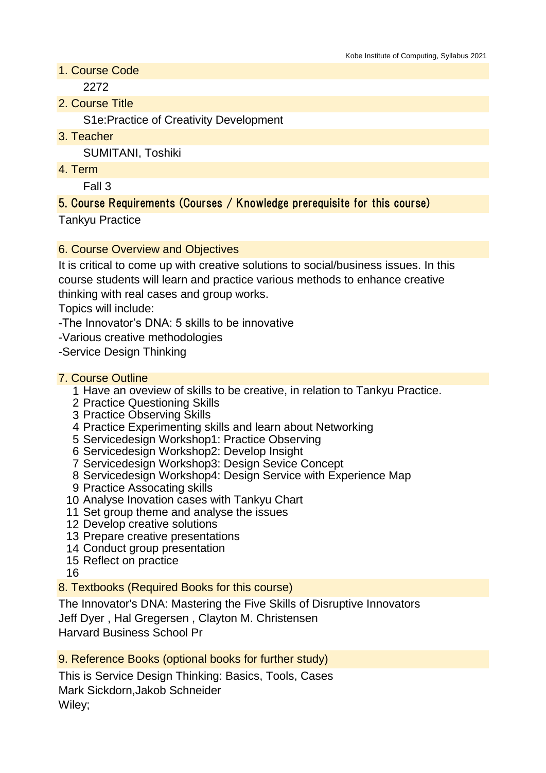1. Course Code

2272

2. Course Title

S1e:Practice of Creativity Development

3. Teacher

SUMITANI, Toshiki

4. Term

Fall 3

# 5. Course Requirements (Courses / Knowledge prerequisite for this course)

Tankyu Practice

#### 6. Course Overview and Objectives

It is critical to come up with creative solutions to social/business issues. In this course students will learn and practice various methods to enhance creative thinking with real cases and group works.

Topics will include:

-The Innovator's DNA: 5 skills to be innovative

-Various creative methodologies

-Service Design Thinking

#### 7. Course Outline

- 1 Have an oveview of skills to be creative, in relation to Tankyu Practice.
- 2 Practice Questioning Skills
- 3 Practice Observing Skills
- 4 Practice Experimenting skills and learn about Networking
- 5 Servicedesign Workshop1: Practice Observing
- 6 Servicedesign Workshop2: Develop Insight
- 7 Servicedesign Workshop3: Design Sevice Concept
- 8 Servicedesign Workshop4: Design Service with Experience Map
- 9 Practice Assocating skills
- 10 Analyse Inovation cases with Tankyu Chart
- 11 Set group theme and analyse the issues
- 12 Develop creative solutions
- 13 Prepare creative presentations
- 14 Conduct group presentation
- 15 Reflect on practice

16

8. Textbooks (Required Books for this course)

The Innovator's DNA: Mastering the Five Skills of Disruptive Innovators Jeff Dyer , Hal Gregersen , Clayton M. Christensen Harvard Business School Pr

9. Reference Books (optional books for further study)

This is Service Design Thinking: Basics, Tools, Cases Mark Sickdorn,Jakob Schneider Wiley;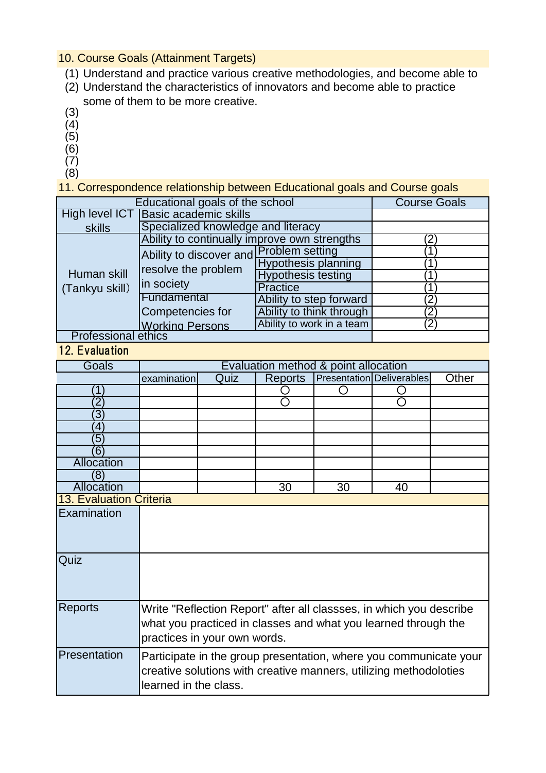# 10. Course Goals (Attainment Targets)

- (1) Understand and practice various creative methodologies, and become able to
- (2) Understand the characteristics of innovators and become able to practice some of them to be more creative.
- (3)
- $(4)$  $(5)$
- $(6)$
- $(7)$
- (8)

11. Correspondence relationship between Educational goals and Course goals

| Educational goals of the school |                                                                              |                            | <b>Course Goals</b> |
|---------------------------------|------------------------------------------------------------------------------|----------------------------|---------------------|
| High level ICT                  | <b>Basic academic skills</b>                                                 |                            |                     |
| skills                          | Specialized knowledge and literacy                                           |                            |                     |
| Human skill<br>(Tankyu skill)   | Ability to continually improve own strengths                                 |                            | 2                   |
|                                 | Ability to discover and Problem setting<br>resolve the problem<br>in society |                            |                     |
|                                 |                                                                              | <b>Hypothesis planning</b> |                     |
|                                 |                                                                              | <b>Hypothesis testing</b>  |                     |
|                                 |                                                                              | <b>Practice</b>            |                     |
|                                 | Fundamental                                                                  | Ability to step forward    | 2                   |
|                                 | Competencies for                                                             | Ability to think through   | 2                   |
|                                 | <b>Working Persons</b>                                                       | Ability to work in a team  | 2                   |
| <b>Professional ethics</b>      |                                                                              |                            |                     |

12. Evaluation

| Goals             | Evaluation method & point allocation                                                                                                                                  |      |                |    |                           |       |
|-------------------|-----------------------------------------------------------------------------------------------------------------------------------------------------------------------|------|----------------|----|---------------------------|-------|
|                   | examination                                                                                                                                                           | Quiz | <b>Reports</b> |    | Presentation Deliverables | Other |
|                   |                                                                                                                                                                       |      |                |    |                           |       |
|                   |                                                                                                                                                                       |      |                |    |                           |       |
| $\overline{3}$    |                                                                                                                                                                       |      |                |    |                           |       |
| 4                 |                                                                                                                                                                       |      |                |    |                           |       |
| 5                 |                                                                                                                                                                       |      |                |    |                           |       |
| $\overline{6}$    |                                                                                                                                                                       |      |                |    |                           |       |
| <b>Allocation</b> |                                                                                                                                                                       |      |                |    |                           |       |
| (8)               |                                                                                                                                                                       |      |                |    |                           |       |
| Allocation        |                                                                                                                                                                       |      | 30             | 30 | 40                        |       |
|                   | <b>13. Evaluation Criteria</b>                                                                                                                                        |      |                |    |                           |       |
| Examination       |                                                                                                                                                                       |      |                |    |                           |       |
| Quiz              |                                                                                                                                                                       |      |                |    |                           |       |
| <b>Reports</b>    | Write "Reflection Report" after all classses, in which you describe<br>what you practiced in classes and what you learned through the<br>practices in your own words. |      |                |    |                           |       |
| Presentation      | Participate in the group presentation, where you communicate your<br>creative solutions with creative manners, utilizing methodoloties<br>learned in the class.       |      |                |    |                           |       |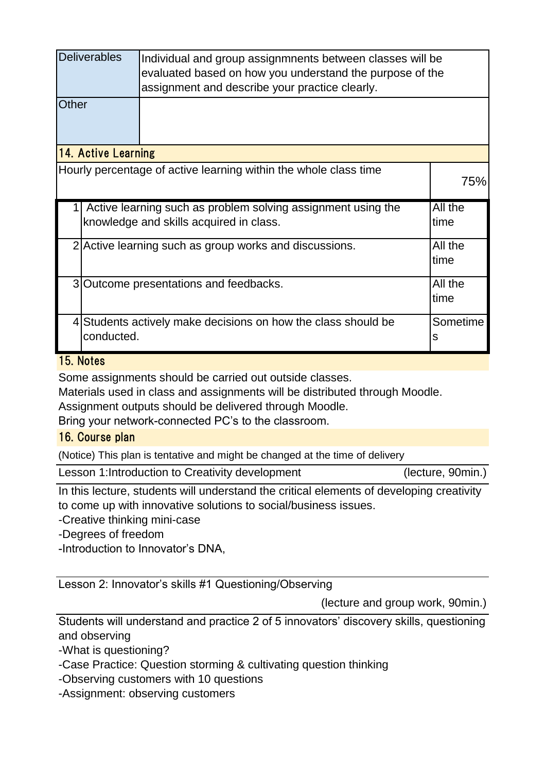|                     | <b>Deliverables</b><br>Individual and group assignmnents between classes will be                           |                                                                                                         |                 |  |
|---------------------|------------------------------------------------------------------------------------------------------------|---------------------------------------------------------------------------------------------------------|-----------------|--|
|                     | evaluated based on how you understand the purpose of the<br>assignment and describe your practice clearly. |                                                                                                         |                 |  |
| Other               |                                                                                                            |                                                                                                         |                 |  |
| 14. Active Learning |                                                                                                            |                                                                                                         |                 |  |
|                     |                                                                                                            | Hourly percentage of active learning within the whole class time                                        | 75%             |  |
|                     |                                                                                                            | Active learning such as problem solving assignment using the<br>knowledge and skills acquired in class. | All the<br>time |  |
|                     |                                                                                                            | 2 Active learning such as group works and discussions.                                                  | All the<br>time |  |
|                     |                                                                                                            | 3 Outcome presentations and feedbacks.                                                                  | All the<br>time |  |
|                     | conducted.                                                                                                 | 4 Students actively make decisions on how the class should be                                           | Sometime<br>s   |  |

### 15. Notes

Some assignments should be carried out outside classes.

Materials used in class and assignments will be distributed through Moodle.

Assignment outputs should be delivered through Moodle.

Bring your network-connected PC's to the classroom.

### 16. Course plan

(Notice) This plan is tentative and might be changed at the time of delivery

|  | Lesson 1: Introduction to Creativity development |
|--|--------------------------------------------------|
|--|--------------------------------------------------|

(lecture, 90min.)

In this lecture, students will understand the critical elements of developing creativity to come up with innovative solutions to social/business issues.

-Creative thinking mini-case

-Degrees of freedom

-Introduction to Innovator's DNA,

Lesson 2: Innovator's skills #1 Questioning/Observing

(lecture and group work, 90min.)

Students will understand and practice 2 of 5 innovators' discovery skills, questioning and observing

-What is questioning?

-Case Practice: Question storming & cultivating question thinking

-Observing customers with 10 questions

-Assignment: observing customers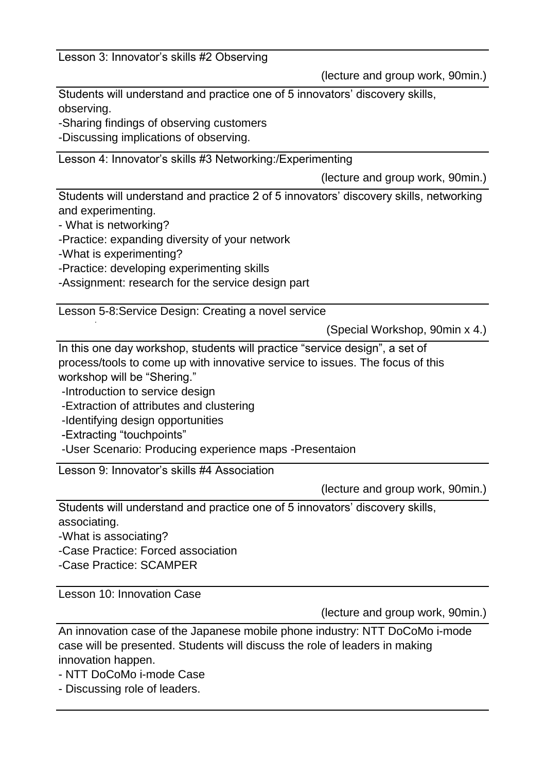Lesson 3: Innovator's skills #2 Observing

(lecture and group work, 90min.)

Students will understand and practice one of 5 innovators' discovery skills, observing.

-Sharing findings of observing customers

-Discussing implications of observing.

Lesson 4: Innovator's skills #3 Networking:/Experimenting

(lecture and group work, 90min.)

Students will understand and practice 2 of 5 innovators' discovery skills, networking and experimenting.

- What is networking?

-Practice: expanding diversity of your network

-What is experimenting?

ecosystem

-Practice: developing experimenting skills

-Assignment: research for the service design part

Lesson 5-8:Service Design: Creating a novel service

(Special Workshop, 90min x 4.)

In this one day workshop, students will practice "service design", a set of process/tools to come up with innovative service to issues. The focus of this workshop will be "Shering."

-Introduction to service design

-Extraction of attributes and clustering

-Identifying design opportunities

-Extracting "touchpoints"

-User Scenario: Producing experience maps -Presentaion

Lesson 9: Innovator's skills #4 Association

(lecture and group work, 90min.)

Students will understand and practice one of 5 innovators' discovery skills, associating.

-What is associating?

-Case Practice: Forced association

-Case Practice: SCAMPER

Lesson 10: Innovation Case

(lecture and group work, 90min.)

An innovation case of the Japanese mobile phone industry: NTT DoCoMo i-mode case will be presented. Students will discuss the role of leaders in making innovation happen.

- NTT DoCoMo i-mode Case

- Discussing role of leaders.